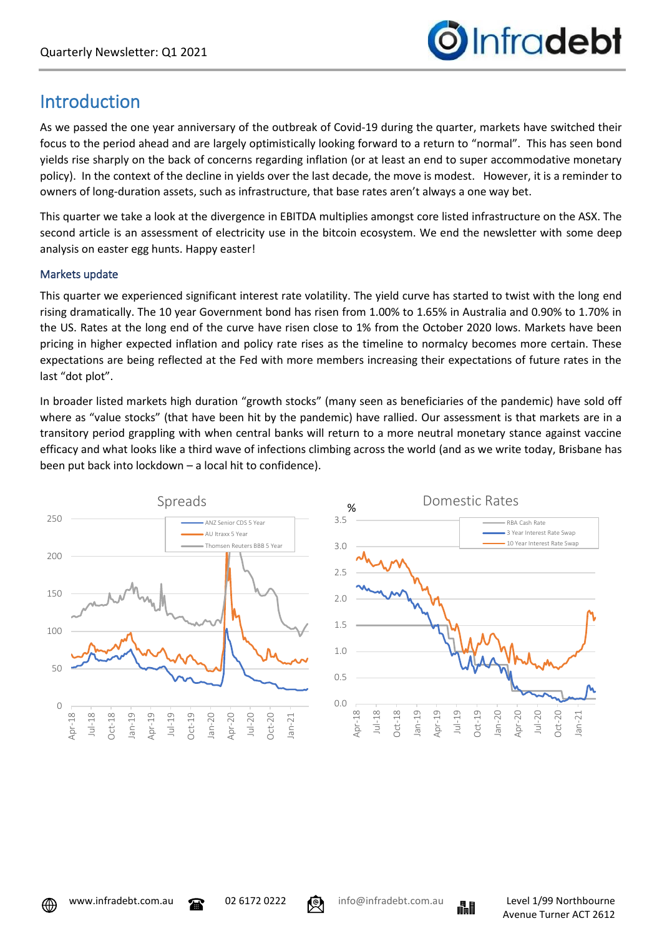

## Introduction

As we passed the one year anniversary of the outbreak of Covid-19 during the quarter, markets have switched their focus to the period ahead and are largely optimistically looking forward to a return to "normal". This has seen bond yields rise sharply on the back of concerns regarding inflation (or at least an end to super accommodative monetary policy). In the context of the decline in yields over the last decade, the move is modest. However, it is a reminder to owners of long-duration assets, such as infrastructure, that base rates aren't always a one way bet.

This quarter we take a look at the divergence in EBITDA multiplies amongst core listed infrastructure on the ASX. The second article is an assessment of electricity use in the bitcoin ecosystem. We end the newsletter with some deep analysis on easter egg hunts. Happy easter!

### Markets update

This quarter we experienced significant interest rate volatility. The yield curve has started to twist with the long end rising dramatically. The 10 year Government bond has risen from 1.00% to 1.65% in Australia and 0.90% to 1.70% in the US. Rates at the long end of the curve have risen close to 1% from the October 2020 lows. Markets have been pricing in higher expected inflation and policy rate rises as the timeline to normalcy becomes more certain. These expectations are being reflected at the Fed with more members increasing their expectations of future rates in the last "dot plot".

In broader listed markets high duration "growth stocks" (many seen as beneficiaries of the pandemic) have sold off where as "value stocks" (that have been hit by the pandemic) have rallied. Our assessment is that markets are in a transitory period grappling with when central banks will return to a more neutral monetary stance against vaccine efficacy and what looks like a third wave of infections climbing across the world (and as we write today, Brisbane has been put back into lockdown – a local hit to confidence).



⊕



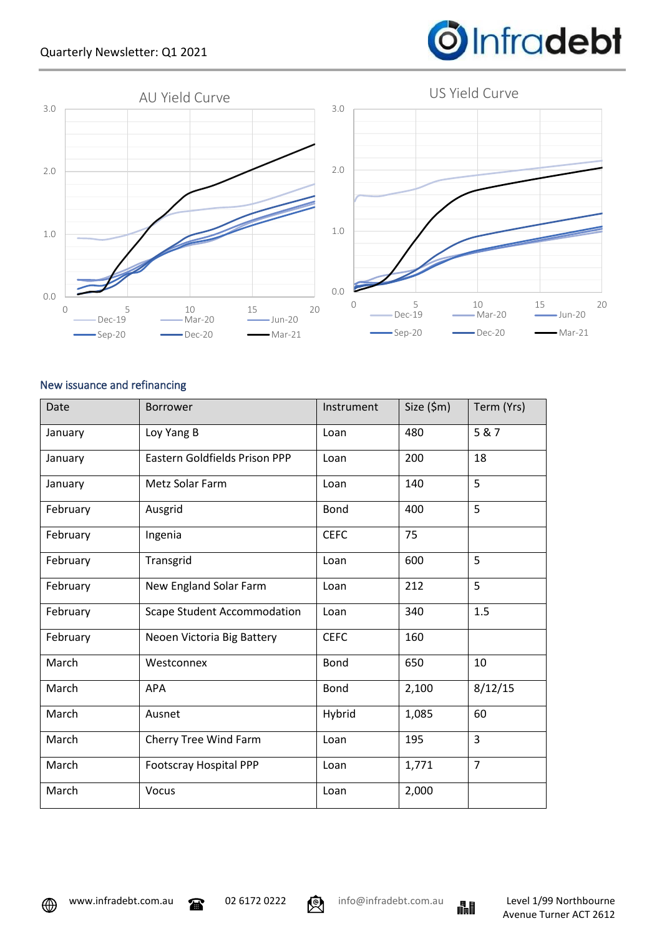

### New issuance and refinancing

| Date     | <b>Borrower</b>                    | Instrument  | Size (\$m) | Term (Yrs)     |
|----------|------------------------------------|-------------|------------|----------------|
| January  | Loy Yang B                         | Loan        | 480        | 5 & 7          |
| January  | Eastern Goldfields Prison PPP      | Loan        | 200        | 18             |
| January  | Metz Solar Farm                    | Loan        | 140        | 5              |
| February | Ausgrid                            | <b>Bond</b> | 400        | 5              |
| February | Ingenia                            | <b>CEFC</b> | 75         |                |
| February | Transgrid                          | Loan        | 600        | 5              |
| February | New England Solar Farm             | Loan        | 212        | 5              |
| February | <b>Scape Student Accommodation</b> | Loan        | 340        | 1.5            |
| February | Neoen Victoria Big Battery         | <b>CEFC</b> | 160        |                |
| March    | Westconnex                         | <b>Bond</b> | 650        | 10             |
| March    | <b>APA</b>                         | <b>Bond</b> | 2,100      | 8/12/15        |
| March    | Ausnet                             | Hybrid      | 1,085      | 60             |
| March    | Cherry Tree Wind Farm              | Loan        | 195        | 3              |
| March    | <b>Footscray Hospital PPP</b>      | Loan        | 1,771      | $\overline{7}$ |
| March    | Vocus                              | Loan        | 2,000      |                |





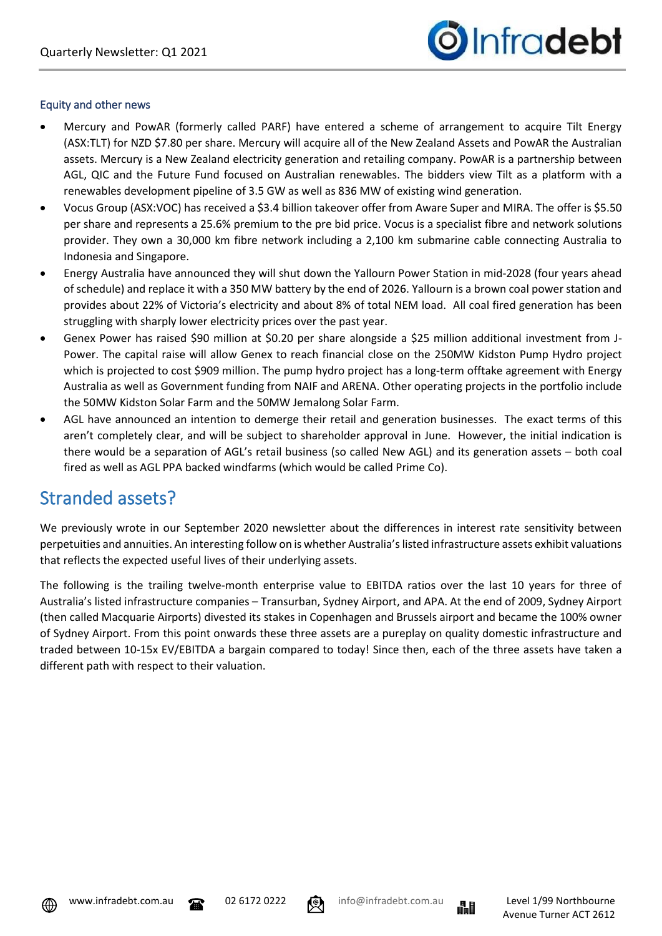

#### Equity and other news

- Mercury and PowAR (formerly called PARF) have entered a scheme of arrangement to acquire Tilt Energy (ASX:TLT) for NZD \$7.80 per share. Mercury will acquire all of the New Zealand Assets and PowAR the Australian assets. Mercury is a New Zealand electricity generation and retailing company. PowAR is a partnership between AGL, QIC and the Future Fund focused on Australian renewables. The bidders view Tilt as a platform with a renewables development pipeline of 3.5 GW as well as 836 MW of existing wind generation.
- Vocus Group (ASX:VOC) has received a \$3.4 billion takeover offer from Aware Super and MIRA. The offer is \$5.50 per share and represents a 25.6% premium to the pre bid price. Vocus is a specialist fibre and network solutions provider. They own a 30,000 km fibre network including a 2,100 km submarine cable connecting Australia to Indonesia and Singapore.
- Energy Australia have announced they will shut down the Yallourn Power Station in mid-2028 (four years ahead of schedule) and replace it with a 350 MW battery by the end of 2026. Yallourn is a brown coal power station and provides about 22% of Victoria's electricity and about 8% of total NEM load. All coal fired generation has been struggling with sharply lower electricity prices over the past year.
- Genex Power has raised \$90 million at \$0.20 per share alongside a \$25 million additional investment from J-Power. The capital raise will allow Genex to reach financial close on the 250MW Kidston Pump Hydro project which is projected to cost \$909 million. The pump hydro project has a long-term offtake agreement with Energy Australia as well as Government funding from NAIF and ARENA. Other operating projects in the portfolio include the 50MW Kidston Solar Farm and the 50MW Jemalong Solar Farm.
- AGL have announced an intention to demerge their retail and generation businesses. The exact terms of this aren't completely clear, and will be subject to shareholder approval in June. However, the initial indication is there would be a separation of AGL's retail business (so called New AGL) and its generation assets – both coal fired as well as AGL PPA backed windfarms (which would be called Prime Co).

### Stranded assets?

We previously wrote in our September 2020 newsletter about the differences in interest rate sensitivity between perpetuities and annuities. An interesting follow on is whether Australia's listed infrastructure assets exhibit valuations that reflects the expected useful lives of their underlying assets.

The following is the trailing twelve-month enterprise value to EBITDA ratios over the last 10 years for three of Australia's listed infrastructure companies – Transurban, Sydney Airport, and APA. At the end of 2009, Sydney Airport (then called Macquarie Airports) divested its stakes in Copenhagen and Brussels airport and became the 100% owner of Sydney Airport. From this point onwards these three assets are a pureplay on quality domestic infrastructure and traded between 10-15x EV/EBITDA a bargain compared to today! Since then, each of the three assets have taken a different path with respect to their valuation.



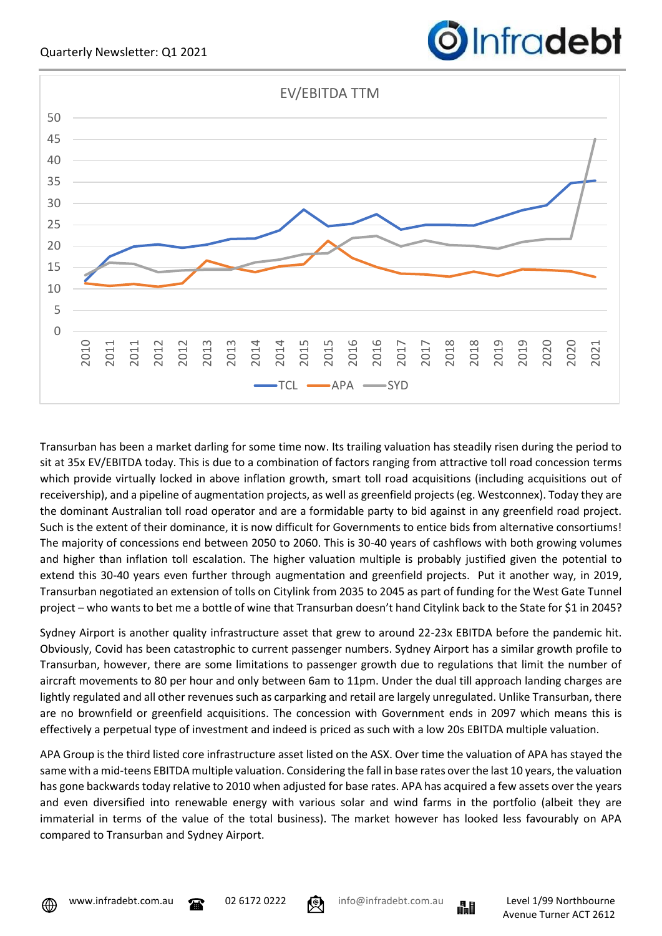

Transurban has been a market darling for some time now. Its trailing valuation has steadily risen during the period to sit at 35x EV/EBITDA today. This is due to a combination of factors ranging from attractive toll road concession terms which provide virtually locked in above inflation growth, smart toll road acquisitions (including acquisitions out of receivership), and a pipeline of augmentation projects, as well as greenfield projects (eg. Westconnex). Today they are the dominant Australian toll road operator and are a formidable party to bid against in any greenfield road project. Such is the extent of their dominance, it is now difficult for Governments to entice bids from alternative consortiums! The majority of concessions end between 2050 to 2060. This is 30-40 years of cashflows with both growing volumes and higher than inflation toll escalation. The higher valuation multiple is probably justified given the potential to extend this 30-40 years even further through augmentation and greenfield projects. Put it another way, in 2019, Transurban negotiated an extension of tolls on Citylink from 2035 to 2045 as part of funding for the West Gate Tunnel project – who wants to bet me a bottle of wine that Transurban doesn't hand Citylink back to the State for \$1 in 2045?

Sydney Airport is another quality infrastructure asset that grew to around 22-23x EBITDA before the pandemic hit. Obviously, Covid has been catastrophic to current passenger numbers. Sydney Airport has a similar growth profile to Transurban, however, there are some limitations to passenger growth due to regulations that limit the number of aircraft movements to 80 per hour and only between 6am to 11pm. Under the dual till approach landing charges are lightly regulated and all other revenues such as carparking and retail are largely unregulated. Unlike Transurban, there are no brownfield or greenfield acquisitions. The concession with Government ends in 2097 which means this is effectively a perpetual type of investment and indeed is priced as such with a low 20s EBITDA multiple valuation.

APA Group is the third listed core infrastructure asset listed on the ASX. Over time the valuation of APA has stayed the same with a mid-teens EBITDA multiple valuation. Considering the fall in base rates over the last 10 years, the valuation has gone backwards today relative to 2010 when adjusted for base rates. APA has acquired a few assets over the years and even diversified into renewable energy with various solar and wind farms in the portfolio (albeit they are immaterial in terms of the value of the total business). The market however has looked less favourably on APA compared to Transurban and Sydney Airport.









Infradebt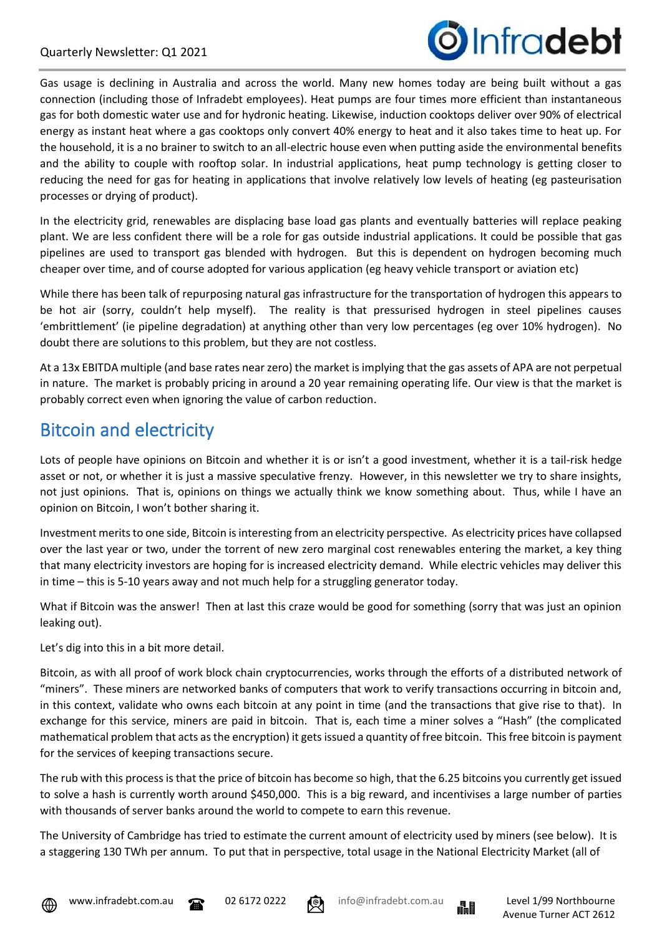

Gas usage is declining in Australia and across the world. Many new homes today are being built without a gas connection (including those of Infradebt employees). Heat pumps are four times more efficient than instantaneous gas for both domestic water use and for hydronic heating. Likewise, induction cooktops deliver over 90% of electrical energy as instant heat where a gas cooktops only convert 40% energy to heat and it also takes time to heat up. For the household, it is a no brainer to switch to an all-electric house even when putting aside the environmental benefits and the ability to couple with rooftop solar. In industrial applications, heat pump technology is getting closer to reducing the need for gas for heating in applications that involve relatively low levels of heating (eg pasteurisation processes or drying of product).

In the electricity grid, renewables are displacing base load gas plants and eventually batteries will replace peaking plant. We are less confident there will be a role for gas outside industrial applications. It could be possible that gas pipelines are used to transport gas blended with hydrogen. But this is dependent on hydrogen becoming much cheaper over time, and of course adopted for various application (eg heavy vehicle transport or aviation etc)

While there has been talk of repurposing natural gas infrastructure for the transportation of hydrogen this appears to be hot air (sorry, couldn't help myself). The reality is that pressurised hydrogen in steel pipelines causes 'embrittlement' (ie pipeline degradation) at anything other than very low percentages (eg over 10% hydrogen). No doubt there are solutions to this problem, but they are not costless.

At a 13x EBITDA multiple (and base rates near zero) the market is implying that the gas assets of APA are not perpetual in nature. The market is probably pricing in around a 20 year remaining operating life. Our view is that the market is probably correct even when ignoring the value of carbon reduction.

# Bitcoin and electricity

Lots of people have opinions on Bitcoin and whether it is or isn't a good investment, whether it is a tail-risk hedge asset or not, or whether it is just a massive speculative frenzy. However, in this newsletter we try to share insights, not just opinions. That is, opinions on things we actually think we know something about. Thus, while I have an opinion on Bitcoin, I won't bother sharing it.

Investment merits to one side, Bitcoin is interesting from an electricity perspective. As electricity prices have collapsed over the last year or two, under the torrent of new zero marginal cost renewables entering the market, a key thing that many electricity investors are hoping for is increased electricity demand. While electric vehicles may deliver this in time – this is 5-10 years away and not much help for a struggling generator today.

What if Bitcoin was the answer! Then at last this craze would be good for something (sorry that was just an opinion leaking out).

Let's dig into this in a bit more detail.

Bitcoin, as with all proof of work block chain cryptocurrencies, works through the efforts of a distributed network of "miners". These miners are networked banks of computers that work to verify transactions occurring in bitcoin and, in this context, validate who owns each bitcoin at any point in time (and the transactions that give rise to that). In exchange for this service, miners are paid in bitcoin. That is, each time a miner solves a "Hash" (the complicated mathematical problem that acts as the encryption) it gets issued a quantity of free bitcoin. This free bitcoin is payment for the services of keeping transactions secure.

The rub with this process is that the price of bitcoin has become so high, that the 6.25 bitcoins you currently get issued to solve a hash is currently worth around \$450,000. This is a big reward, and incentivises a large number of parties with thousands of server banks around the world to compete to earn this revenue.

The University of Cambridge has tried to estimate the current amount of electricity used by miners (see below). It is a staggering 130 TWh per annum. To put that in perspective, total usage in the National Electricity Market (all of







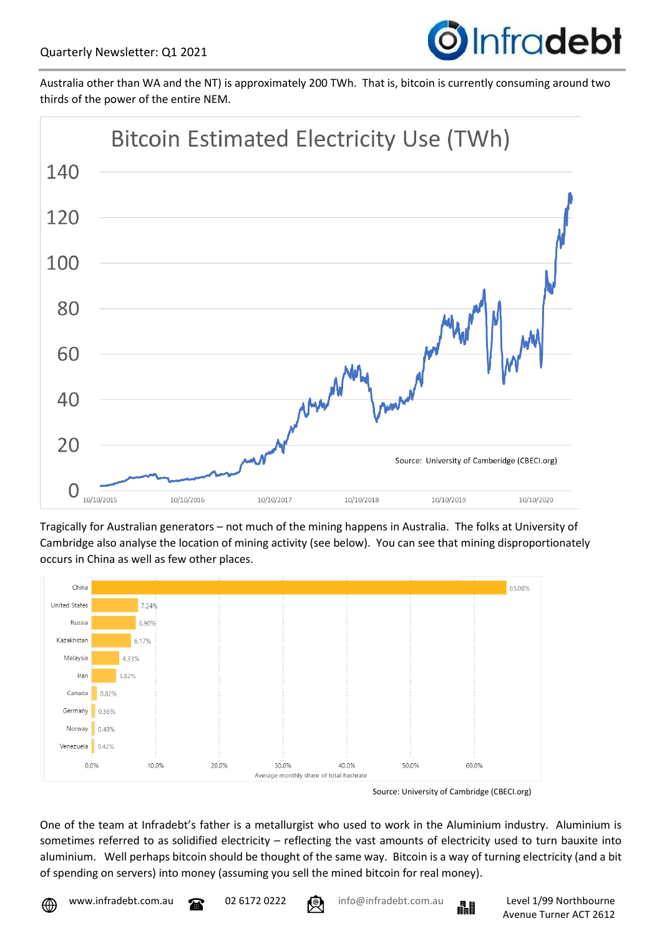

Australia other than WA and the NT) is approximately 200 TWh. That is, bitcoin is currently consuming around two thirds of the power of the entire NEM.



Tragically for Australian generators – not much of the mining happens in Australia. The folks at University of Cambridge also analyse the location of mining activity (see below). You can see that mining disproportionately occurs in China as well as few other places.



Source: University of Cambridge (CBECI.org)

One of the team at Infradebt's father is a metallurgist who used to work in the Aluminium industry. Aluminium is sometimes referred to as solidified electricity – reflecting the vast amounts of electricity used to turn bauxite into aluminium. Well perhaps bitcoin should be thought of the same way. Bitcoin is a way of turning electricity (and a bit of spending on servers) into money (assuming you sell the mined bitcoin for real money).



www.infradebt.com.au 20261720222 **info@infradebt.com.au Level 1/99 Northbourne** 

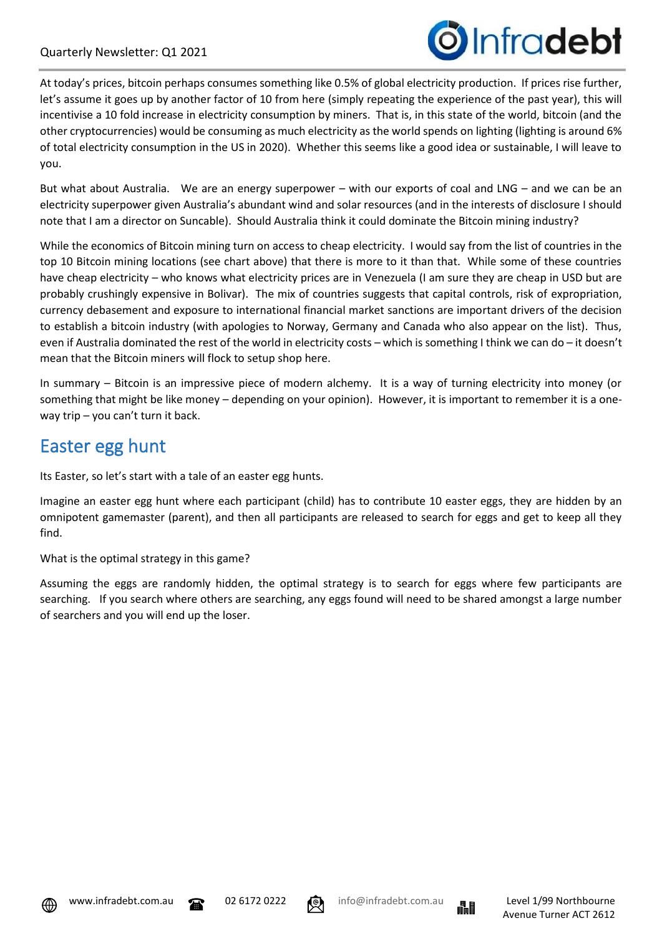

At today's prices, bitcoin perhaps consumes something like 0.5% of global electricity production. If prices rise further, let's assume it goes up by another factor of 10 from here (simply repeating the experience of the past year), this will incentivise a 10 fold increase in electricity consumption by miners. That is, in this state of the world, bitcoin (and the other cryptocurrencies) would be consuming as much electricity as the world spends on lighting (lighting is around 6% of total electricity consumption in the US in 2020). Whether this seems like a good idea or sustainable, I will leave to you.

But what about Australia. We are an energy superpower – with our exports of coal and LNG – and we can be an electricity superpower given Australia's abundant wind and solar resources (and in the interests of disclosure I should note that I am a director on Suncable). Should Australia think it could dominate the Bitcoin mining industry?

While the economics of Bitcoin mining turn on access to cheap electricity. I would say from the list of countries in the top 10 Bitcoin mining locations (see chart above) that there is more to it than that. While some of these countries have cheap electricity – who knows what electricity prices are in Venezuela (I am sure they are cheap in USD but are probably crushingly expensive in Bolivar). The mix of countries suggests that capital controls, risk of expropriation, currency debasement and exposure to international financial market sanctions are important drivers of the decision to establish a bitcoin industry (with apologies to Norway, Germany and Canada who also appear on the list). Thus, even if Australia dominated the rest of the world in electricity costs – which is something I think we can do – it doesn't mean that the Bitcoin miners will flock to setup shop here.

In summary – Bitcoin is an impressive piece of modern alchemy. It is a way of turning electricity into money (or something that might be like money – depending on your opinion). However, it is important to remember it is a oneway trip – you can't turn it back.

### Easter egg hunt

Its Easter, so let's start with a tale of an easter egg hunts.

Imagine an easter egg hunt where each participant (child) has to contribute 10 easter eggs, they are hidden by an omnipotent gamemaster (parent), and then all participants are released to search for eggs and get to keep all they find.

What is the optimal strategy in this game?

Assuming the eggs are randomly hidden, the optimal strategy is to search for eggs where few participants are searching. If you search where others are searching, any eggs found will need to be shared amongst a large number of searchers and you will end up the loser.





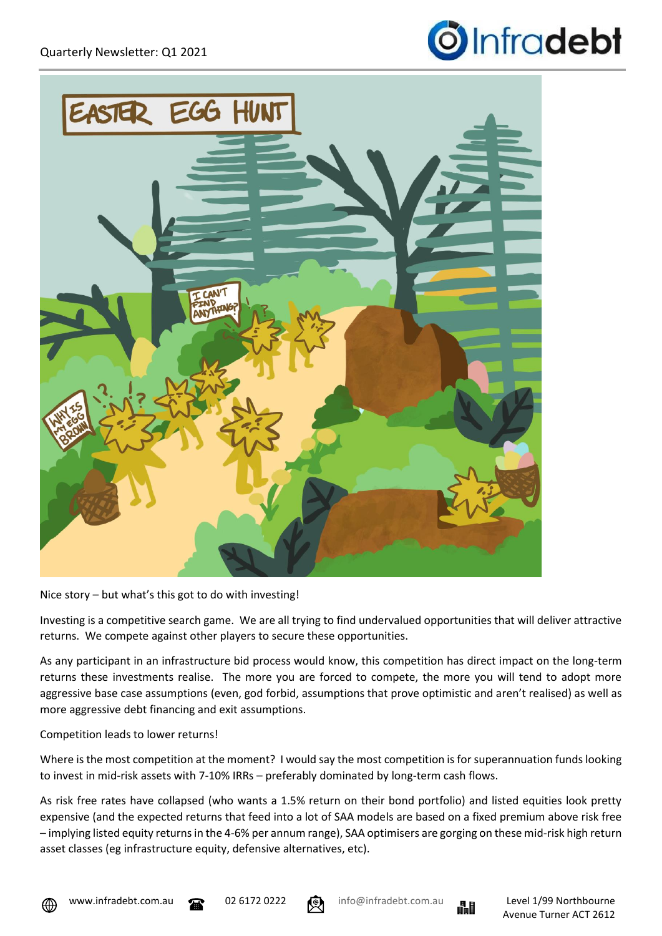



Nice story – but what's this got to do with investing!

Investing is a competitive search game. We are all trying to find undervalued opportunities that will deliver attractive returns. We compete against other players to secure these opportunities.

As any participant in an infrastructure bid process would know, this competition has direct impact on the long-term returns these investments realise. The more you are forced to compete, the more you will tend to adopt more aggressive base case assumptions (even, god forbid, assumptions that prove optimistic and aren't realised) as well as more aggressive debt financing and exit assumptions.

### Competition leads to lower returns!

Where is the most competition at the moment? I would say the most competition is for superannuation funds looking to invest in mid-risk assets with 7-10% IRRs – preferably dominated by long-term cash flows.

As risk free rates have collapsed (who wants a 1.5% return on their bond portfolio) and listed equities look pretty expensive (and the expected returns that feed into a lot of SAA models are based on a fixed premium above risk free – implying listed equity returns in the 4-6% per annum range), SAA optimisers are gorging on these mid-risk high return asset classes (eg infrastructure equity, defensive alternatives, etc).